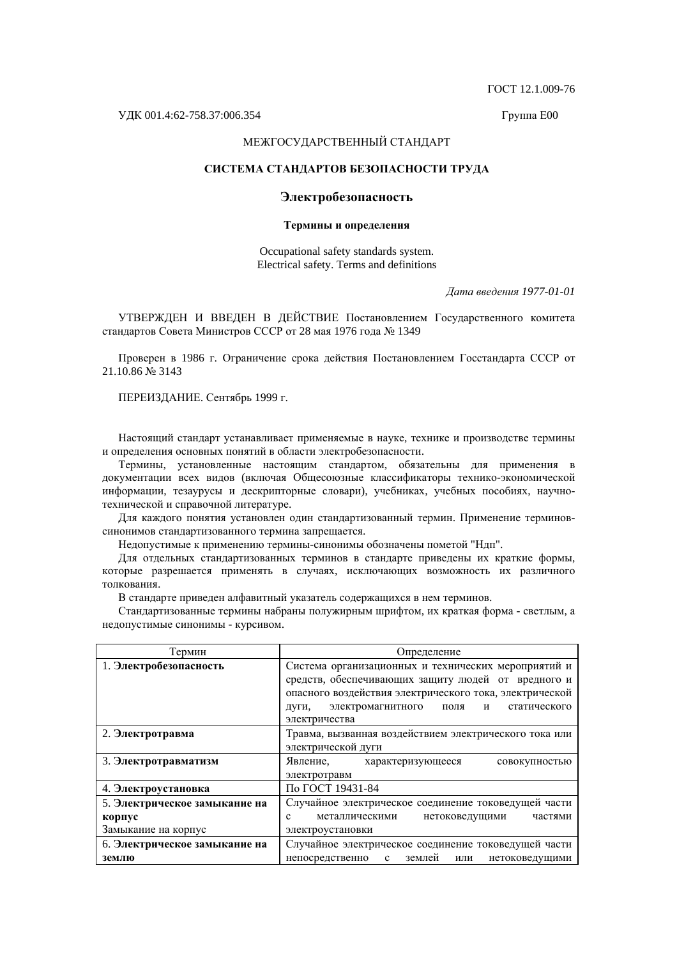ȽɈɋɌ 12.1.009-76

## МЕЖГОСУДАРСТВЕННЫЙ СТАНДАРТ

## СИСТЕМА СТАНДАРТОВ БЕЗОПАСНОСТИ ТРУДА

## Электробезопасность

#### Термины и определения

Occupational safety standards system. Electrical safety. Terms and definitions

*Ⱦɚɬɚ ɜɜɟɞɟɧɢɹ 1977-01-01* 

УТВЕРЖДЕН И ВВЕДЕН В ДЕЙСТВИЕ Постановлением Государственного комитета стандартов Совета Министров СССР от 28 мая 1976 года № 1349

Проверен в 1986 г. Ограничение срока действия Постановлением Госстандарта СССР от 21.10.86 № 3143

ПЕРЕИЗДАНИЕ. Сентябрь 1999 г.

Настоящий стандарт устанавливает применяемые в науке, технике и производстве термины и определения основных понятий в области электробезопасности.

Термины, установленные настоящим стандартом, обязательны для применения в документации всех видов (включая Общесоюзные классификаторы технико-экономической информации, тезаурусы и дескрипторные словари), учебниках, учебных пособиях, научнотехнической и справочной литературе.

Для каждого понятия установлен один стандартизованный термин. Применение терминовсинонимов стандартизованного термина запрещается.

Недопустимые к применению термины-синонимы обозначены пометой "Ндп".

Для отдельных стандартизованных терминов в стандарте приведены их краткие формы, которые разрешается применять в случаях, исключающих возможность их различного TO TKORAHUS.

В стандарте приведен алфавитный указатель содержащихся в нем терминов.

Стандартизованные термины набраны полужирным шрифтом, их краткая форма - светлым, а недопустимые синонимы - курсивом.

| Термин                        | Определение                                                        |
|-------------------------------|--------------------------------------------------------------------|
| 1. Электробезопасность        | Система организационных и технических мероприятий и                |
|                               | средств, обеспечивающих защиту людей от вредного и                 |
|                               | опасного воздействия электрического тока, электрической            |
|                               | электромагнитного<br>поля<br>статического<br>дуги,<br>И            |
|                               | электричества                                                      |
| 2. Электротравма              | Травма, вызванная воздействием электрического тока или             |
|                               | электрической дуги                                                 |
| 3. Электротравматизм          | Явление,<br>характеризующееся<br>совокупностью                     |
|                               | электротравм                                                       |
| 4. Электроустановка           | По ГОСТ 19431-84                                                   |
| 5. Электрическое замыкание на | Случайное электрическое соединение токоведущей части               |
| корпус                        | металлическими<br>нетоковедущими<br>частями<br>c                   |
| Замыкание на корпус           | электроустановки                                                   |
| 6. Электрическое замыкание на | Случайное электрическое соединение токоведущей части               |
| землю                         | землей<br>непосредственно<br>$\mathbf{c}$<br>нетоковедущими<br>ИЛИ |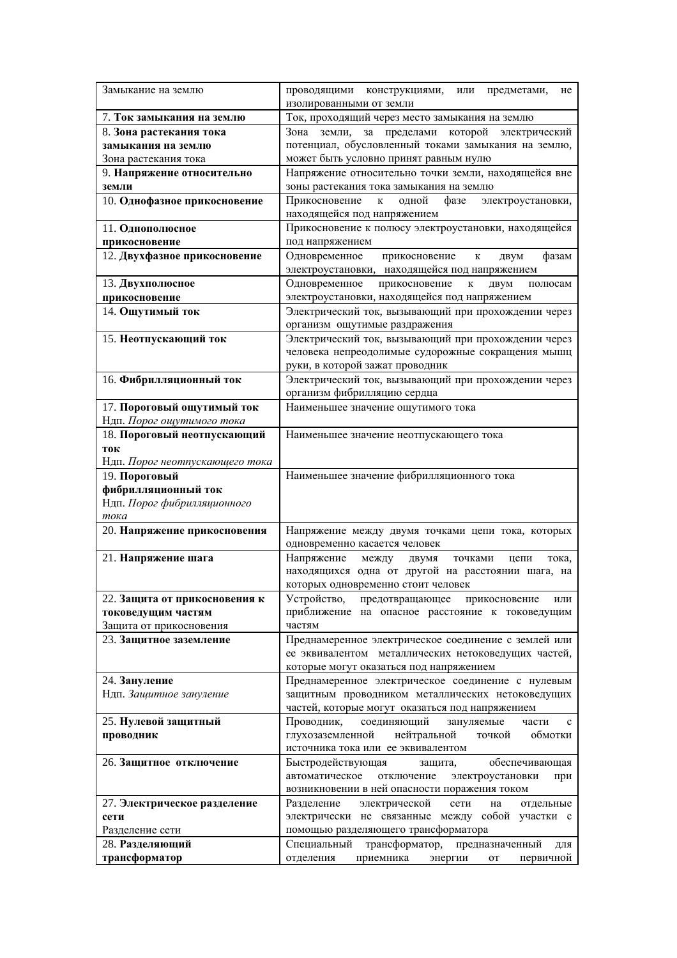| Замыкание на землю                   | проводящими конструкциями,<br>или предметами,<br>He<br>изолированными от земли                            |  |  |
|--------------------------------------|-----------------------------------------------------------------------------------------------------------|--|--|
| 7. Ток замыкания на землю            | Ток, проходящий через место замыкания на землю                                                            |  |  |
| 8. Зона растекания тока              | за пределами которой электрический<br>Зона земли,                                                         |  |  |
| замыкания на землю                   | потенциал, обусловленный токами замыкания на землю,                                                       |  |  |
| Зона растекания тока                 | может быть условно принят равным нулю                                                                     |  |  |
| 9. Напряжение относительно           | Напряжение относительно точки земли, находящейся вне                                                      |  |  |
| земли                                | зоны растекания тока замыкания на землю                                                                   |  |  |
| 10. Однофазное прикосновение         | Прикосновение<br>одной<br>фазе<br>электроустановки,<br>$\bf K$                                            |  |  |
|                                      | находящейся под напряжением                                                                               |  |  |
| 11. Однополюсное                     | Прикосновение к полюсу электроустановки, находящейся                                                      |  |  |
| прикосновение                        | под напряжением                                                                                           |  |  |
| 12. Двухфазное прикосновение         | Одновременное<br>прикосновение<br>фазам<br>К<br>двум<br>электроустановки, находящейся под напряжением     |  |  |
| 13. Двухполюсное                     | Одновременное<br>прикосновение<br>$\bf K$<br>полюсам<br>двум                                              |  |  |
| прикосновение                        | электроустановки, находящейся под напряжением                                                             |  |  |
| 14. Ощутимый ток                     | Электрический ток, вызывающий при прохождении через                                                       |  |  |
|                                      | организм ощутимые раздражения                                                                             |  |  |
| 15. Неотпускающий ток                | Электрический ток, вызывающий при прохождении через                                                       |  |  |
|                                      | человека непреодолимые судорожные сокращения мышц                                                         |  |  |
|                                      | руки, в которой зажат проводник                                                                           |  |  |
| 16. Фибрилляционный ток              | Электрический ток, вызывающий при прохождении через                                                       |  |  |
|                                      | организм фибрилляцию сердца                                                                               |  |  |
| 17. Пороговый ощутимый ток           | Наименьшее значение ощутимого тока                                                                        |  |  |
| Ндп. Порог ощутимого тока            |                                                                                                           |  |  |
| 18. Пороговый неотпускающий          | Наименьшее значение неотпускающего тока                                                                   |  |  |
| ток                                  |                                                                                                           |  |  |
| Ндп. Порог неотпускающего тока       |                                                                                                           |  |  |
| 19. Пороговый                        | Наименьшее значение фибрилляционного тока                                                                 |  |  |
| фибрилляционный ток                  |                                                                                                           |  |  |
| Ндп. Порог фибрилляционного          |                                                                                                           |  |  |
| тока                                 |                                                                                                           |  |  |
| 20. Напряжение прикосновения         | Напряжение между двумя точками цепи тока, которых<br>одновременно касается человек                        |  |  |
| 21. Напряжение шага                  | Напряжение<br>между<br>двумя<br>точками<br>цепи<br>тока,                                                  |  |  |
|                                      | находящихся одна от другой на расстоянии шага, на                                                         |  |  |
|                                      | которых одновременно стоит человек                                                                        |  |  |
| 22. Защита от прикосновения к        | Устройство,<br>предотвращающее прикосновение<br>или                                                       |  |  |
| токоведущим частям                   | приближение на опасное расстояние к токоведущим                                                           |  |  |
| Защита от прикосновения              | частям                                                                                                    |  |  |
| 23. Защитное заземление              | Преднамеренное электрическое соединение с землей или                                                      |  |  |
|                                      | ее эквивалентом металлических нетоковедущих частей,                                                       |  |  |
|                                      | которые могут оказаться под напряжением                                                                   |  |  |
| 24. Зануление                        | Преднамеренное электрическое соединение с нулевым                                                         |  |  |
| Ндп. Защитное зануление              | защитным проводником металлических нетоковедущих                                                          |  |  |
|                                      | частей, которые могут оказаться под напряжением                                                           |  |  |
| 25. Нулевой защитный                 | Проводник,<br>соединяющий<br>зануляемые<br>части<br>$\mathbf c$                                           |  |  |
| проводник                            | глухозаземленной<br>нейтральной<br>обмотки<br>точкой                                                      |  |  |
|                                      | источника тока или ее эквивалентом                                                                        |  |  |
| 26. Защитное отключение              | Быстродействующая<br>обеспечивающая<br>защита,                                                            |  |  |
|                                      | автоматическое<br>отключение<br>электроустановки<br>при                                                   |  |  |
|                                      | возникновении в ней опасности поражения током                                                             |  |  |
| 27. Электрическое разделение<br>сети | Разделение<br>электрической<br>отдельные<br>сети<br>на<br>электрически не связанные между собой участки с |  |  |
| Разделение сети                      | помощью разделяющего трансформатора                                                                       |  |  |
| 28. Разделяющий                      | трансформатор,<br>Специальный<br>предназначенный<br>ДЛЯ                                                   |  |  |
| трансформатор                        | первичной<br>отделения<br>приемника<br>энергии<br><b>OT</b>                                               |  |  |
|                                      |                                                                                                           |  |  |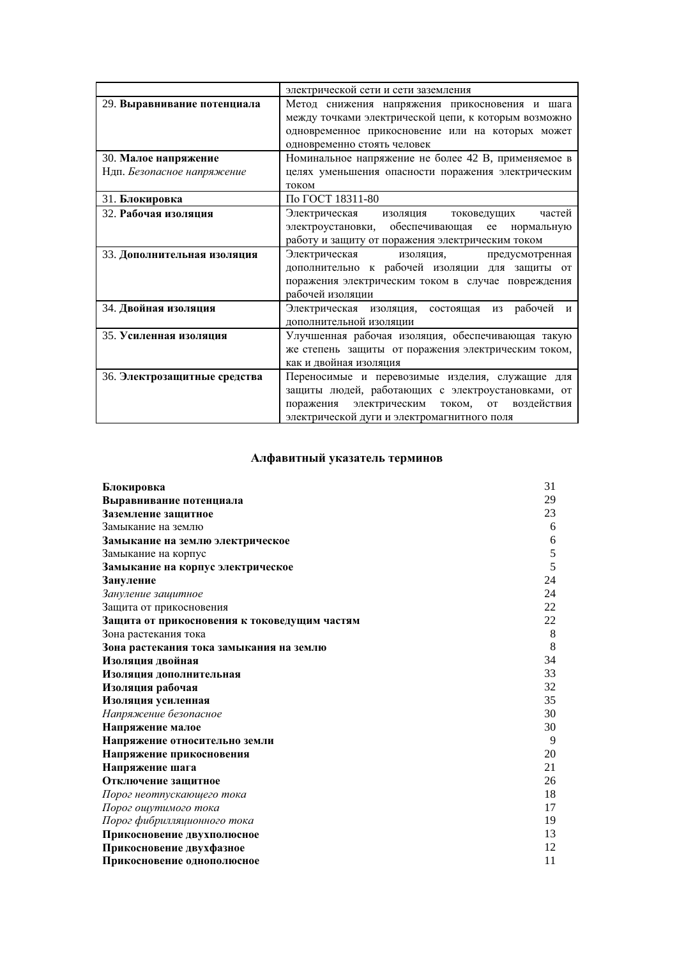|                                                    | электрической сети и сети заземления                                                                                                                                                                 |  |
|----------------------------------------------------|------------------------------------------------------------------------------------------------------------------------------------------------------------------------------------------------------|--|
| 29. Выравнивание потенциала                        | Метод снижения напряжения прикосновения и шага<br>между точками электрической цепи, к которым возможно<br>одновременное прикосновение или на которых может<br>одновременно стоять человек            |  |
| 30. Малое напряжение<br>Ндп. Безопасное напряжение | Номинальное напряжение не более 42 В, применяемое в<br>целях уменьшения опасности поражения электрическим<br>током                                                                                   |  |
| 31. Блокировка                                     | По ГОСТ 18311-80                                                                                                                                                                                     |  |
| 32. Рабочая изоляция                               | Электрическая<br><b>ИЗОЛЯЦИЯ</b><br>частей<br>токоведущих<br>электроустановки, обеспечивающая ее нормальную<br>работу и защиту от поражения электрическим током                                      |  |
| 33. Дополнительная изоляция                        | Электрическая изоляция, предусмотренная<br>дополнительно к рабочей изоляции для защиты от<br>поражения электрическим током в случае повреждения<br>рабочей изоляции                                  |  |
| 34. Двойная изоляция                               | Электрическая изоляция, состоящая из рабочей и<br>дополнительной изоляции                                                                                                                            |  |
| 35. Усиленная изоляция                             | Улучшенная рабочая изоляция, обеспечивающая такую<br>же степень защиты от поражения электрическим током,<br>как и двойная изоляция                                                                   |  |
| 36. Электрозащитные средства                       | Переносимые и перевозимые изделия, служащие для<br>защиты людей, работающих с электроустановками, от<br>поражения электрическим током, от воздействия<br>электрической дуги и электромагнитного поля |  |

# Алфавитный указатель терминов

| Блокировка                                   | 31 |
|----------------------------------------------|----|
| Выравнивание потенциала                      | 29 |
| Заземление защитное                          | 23 |
| Замыкание на землю                           | 6  |
| Замыкание на землю электрическое             | 6  |
| Замыкание на корпус                          | 5  |
| Замыкание на корпус электрическое            | 5  |
| Зануление                                    | 24 |
| Зануление защитное                           | 24 |
| Защита от прикосновения                      | 22 |
| Защита от прикосновения к токоведущим частям | 22 |
| Зона растекания тока                         | 8  |
| Зона растекания тока замыкания на землю      | 8  |
| Изоляция двойная                             | 34 |
| Изоляция дополнительная                      | 33 |
| Изоляция рабочая                             | 32 |
| Изоляция усиленная                           | 35 |
| Напряжение безопасное                        | 30 |
| Напряжение малое                             | 30 |
| Напряжение относительно земли                | 9  |
| Напряжение прикосновения                     | 20 |
| Напряжение шага                              | 21 |
| Отключение защитное                          | 26 |
| Порог неотпускающего тока                    | 18 |
| Порог ощутимого тока                         | 17 |
| Порог фибрилляционного тока                  | 19 |
| Прикосновение двухполюсное                   | 13 |
| Прикосновение двухфазное                     | 12 |
| Прикосновение однополюсное                   | 11 |